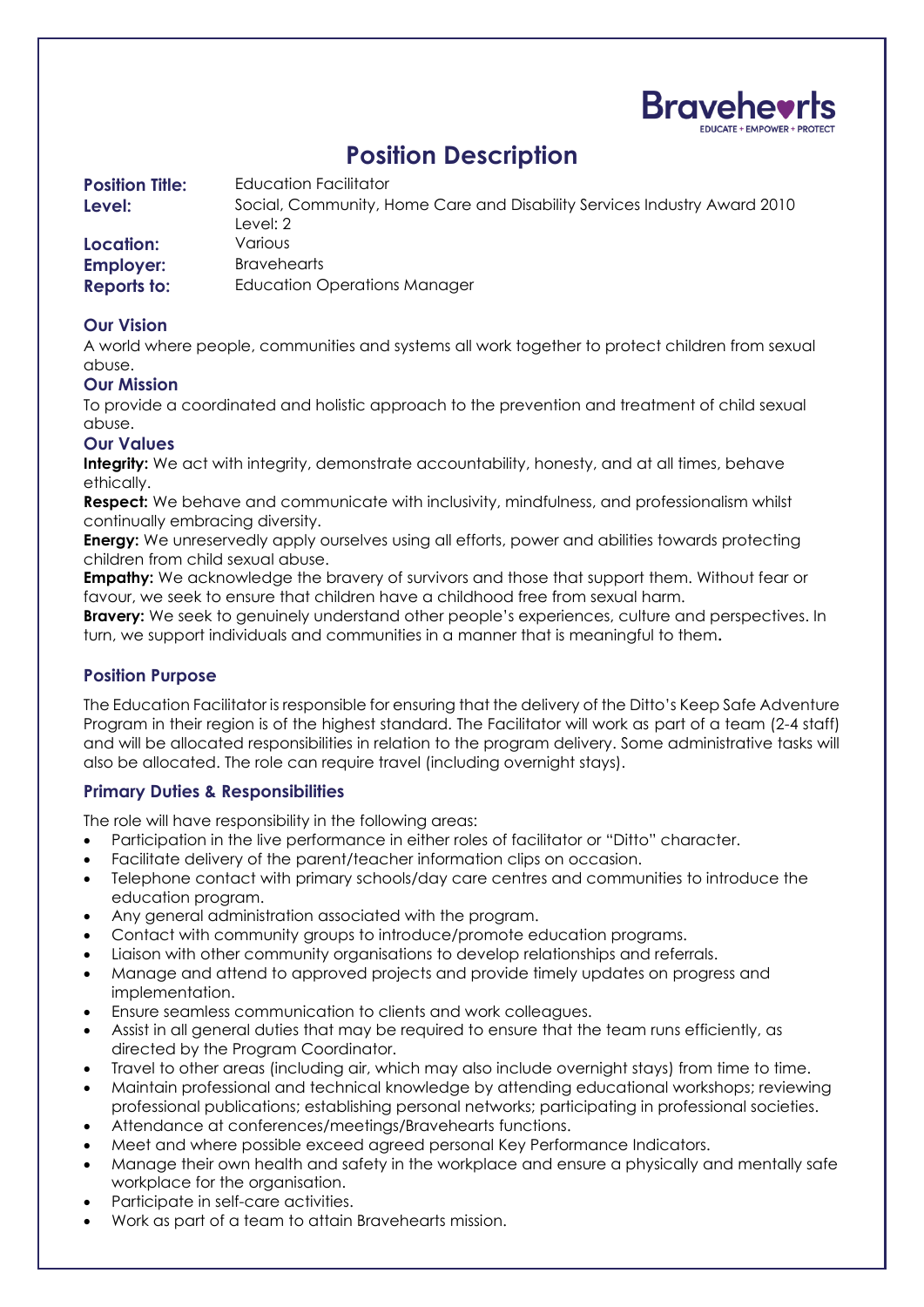

# **Position Description**

| <b>Position Title:</b><br>Level: | Education Facilitator<br>Social, Community, Home Care and Disability Services Industry Award 2010<br>Level: 2 |
|----------------------------------|---------------------------------------------------------------------------------------------------------------|
| Location:                        | Various:                                                                                                      |
| <b>Employer:</b>                 | <b>Bravehearts</b>                                                                                            |
| <b>Reports to:</b>               | <b>Education Operations Manager</b>                                                                           |

# **Our Vision**

A world where people, communities and systems all work together to protect children from sexual abuse.

## **Our Mission**

To provide a coordinated and holistic approach to the prevention and treatment of child sexual abuse.

## **Our Values**

**Integrity:** We act with integrity, demonstrate accountability, honesty, and at all times, behave ethically.

**Respect:** We behave and communicate with inclusivity, mindfulness, and professionalism whilst continually embracing diversity.

**Energy:** We unreservedly apply ourselves using all efforts, power and abilities towards protecting children from child sexual abuse.

**Empathy:** We acknowledge the bravery of survivors and those that support them. Without fear or favour, we seek to ensure that children have a childhood free from sexual harm.

**Bravery:** We seek to genuinely understand other people's experiences, culture and perspectives. In turn, we support individuals and communities in a manner that is meaningful to them**.** 

## **Position Purpose**

The Education Facilitator is responsible for ensuring that the delivery of the Ditto's Keep Safe Adventure Program in their region is of the highest standard. The Facilitator will work as part of a team (2-4 staff) and will be allocated responsibilities in relation to the program delivery. Some administrative tasks will also be allocated. The role can require travel (including overnight stays).

## **Primary Duties & Responsibilities**

The role will have responsibility in the following areas:

- Participation in the live performance in either roles of facilitator or "Ditto" character.
- Facilitate delivery of the parent/teacher information clips on occasion.
- Telephone contact with primary schools/day care centres and communities to introduce the education program.
- Any general administration associated with the program.
- Contact with community groups to introduce/promote education programs.
- Liaison with other community organisations to develop relationships and referrals.
- Manage and attend to approved projects and provide timely updates on progress and implementation.
- Ensure seamless communication to clients and work colleagues.
- Assist in all general duties that may be required to ensure that the team runs efficiently, as directed by the Program Coordinator.
- Travel to other areas (including air, which may also include overnight stays) from time to time.
- Maintain professional and technical knowledge by attending educational workshops; reviewing professional publications; establishing personal networks; participating in professional societies.
- Attendance at conferences/meetings/Bravehearts functions.
- Meet and where possible exceed agreed personal Key Performance Indicators.
- Manage their own health and safety in the workplace and ensure a physically and mentally safe workplace for the organisation.
- Participate in self-care activities.
- Work as part of a team to attain Bravehearts mission.